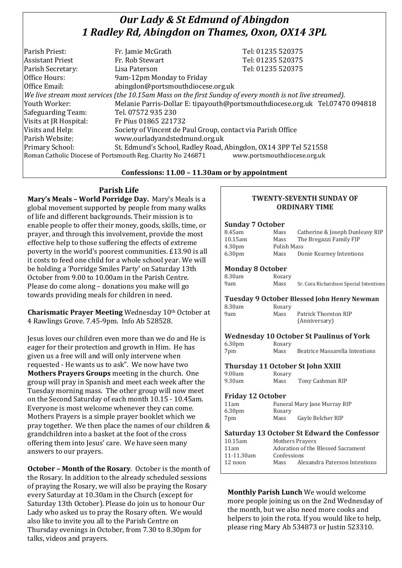# *Our Lady & St Edmund of Abingdon 1 Radley Rd, Abingdon on Thames, Oxon, OX14 3PL*

| Parish Priest:                                                                                           | Fr. Jamie McGrath                                               | Tel: 01235 520375                                                            |
|----------------------------------------------------------------------------------------------------------|-----------------------------------------------------------------|------------------------------------------------------------------------------|
| <b>Assistant Priest</b>                                                                                  | Fr. Rob Stewart                                                 | Tel: 01235 520375                                                            |
| Parish Secretary:                                                                                        | Lisa Paterson                                                   | Tel: 01235 520375                                                            |
| Office Hours:                                                                                            | 9am-12pm Monday to Friday                                       |                                                                              |
| Office Email:                                                                                            | abingdon@portsmouthdiocese.org.uk                               |                                                                              |
| We live stream most services (the 10.15am Mass on the first Sunday of every month is not live streamed). |                                                                 |                                                                              |
| Youth Worker:                                                                                            |                                                                 | Melanie Parris-Dollar E: tipayouth@portsmouthdiocese.org.uk Tel.07470 094818 |
| Safeguarding Team:                                                                                       | Tel. 07572 935 230                                              |                                                                              |
| Visits at JR Hospital:                                                                                   | Fr Pius 01865 221732                                            |                                                                              |
| Visits and Help:                                                                                         | Society of Vincent de Paul Group, contact via Parish Office     |                                                                              |
| Parish Website:                                                                                          | www.ourladyandstedmund.org.uk                                   |                                                                              |
| Primary School:                                                                                          | St. Edmund's School, Radley Road, Abingdon, OX14 3PP Tel 521558 |                                                                              |
| www.portsmouthdiocese.org.uk<br>Roman Catholic Diocese of Portsmouth Reg. Charity No 246871              |                                                                 |                                                                              |
|                                                                                                          |                                                                 |                                                                              |

### **Confessions: 11.00 – 11.30am or by appointment**

# **Parish Life**

**Mary's Meals – World Porridge Day.** Mary's Meals is a global movement supported by people from many walks of life and different backgrounds. Their mission is to enable people to offer their money, goods, skills, time, or prayer, and through this involvement, provide the most effective help to those suffering the effects of extreme poverty in the world's poorest communities. £13.90 is all it costs to feed one child for a whole school year. We will be holding a 'Porridge Smiles Party' on Saturday 13th October from 9.00 to 10.00am in the Parish Centre. Please do come along – donations you make will go towards providing meals for children in need.

**Charismatic Prayer Meeting** Wednesday 10th October at 4 Rawlings Grove. 7.45-9pm. Info Ab 528528.

Jesus loves our children even more than we do and He is eager for their protection and growth in Him. He has given us a free will and will only intervene when requested - He wants us to ask". We now have two **Mothers Prayers Groups** meeting in the church. One group will pray in Spanish and meet each week after the Tuesday morning mass. The other group will now meet on the Second Saturday of each month 10.15 - 10.45am. Everyone is most welcome whenever they can come. Mothers Prayers is a simple prayer booklet which we pray together. We then place the names of our children & grandchildren into a basket at the foot of the cross offering them into Jesus' care. We have seen many answers to our prayers.

**October – Month of the Rosary**. October is the month of the Rosary. In addition to the already scheduled sessions of praying the Rosary, we will also be praying the Rosary every Saturday at 10.30am in the Church (except for Saturday 13th October). Please do join us to honour Our Lady who asked us to pray the Rosary often. We would also like to invite you all to the Parish Centre on Thursday evenings in October, from 7.30 to 8.30pm for talks, videos and prayers.

#### **TWENTY-SEVENTH SUNDAY OF ORDINARY TIME**

## **Sunday 7 October** 8.45am Mass Catherine & Joseph Dunleavy RIP<br>10.15am Mass The Bregazzi Family FIP The Bregazzi Family FIP 4.30pm Polish Mass 6.30pm Mass Donie Kearney Intentions **Monday 8 October**  8.30am Rosary 9am Mass Sr. Cora Richardson Special Intentions **Tuesday 9 October Blessed John Henry Newman** 8.30am Rosary 9am Mass Patrick Thornton RIP (Anniversary) **Wednesday 10 October St Paulinus of York** 6.30pm Rosary 7pm Mass Beatrice Massarella Intentions **Thursday 11 October St John XXIII** 9.00am Rosary<br>9.30am Mass Mass Tony Cashman RIP **Friday 12 October**  11am Funeral Mary Jane Murray RIP 6.30pm Rosary 7pm Mass Gayle Belcher RIP **Saturday 13 October St Edward the Confessor** 10.15am Mothers Prayers 11am Adoration of the Blessed Sacrament 11-11.30am Confessions 12 noon Mass Alexandra Paterson Intentions

**Monthly Parish Lunch** We would welcome more people joining us on the 2nd Wednesday of the month, but we also need more cooks and helpers to join the rota. If you would like to help, please ring Mary Ab 534873 or Justin 523310.